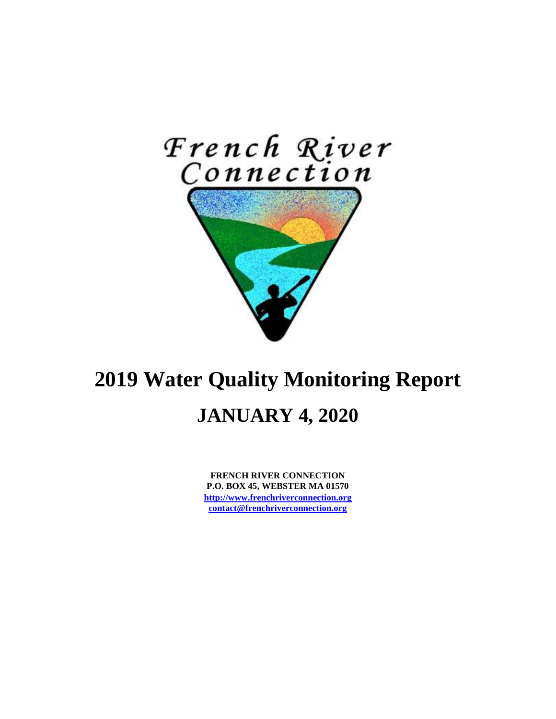

# **2019 Water Quality Monitoring Report JANUARY 4, 2020**

**FRENCH RIVER CONNECTION P.O. BOX 45, WEBSTER MA 01570 [http://www.frenchriverconnection.org](http://www.frenchriverconnection.org/) [contact@frenchriverconnection.org](mailto:contact@frenchriverconnection.org)**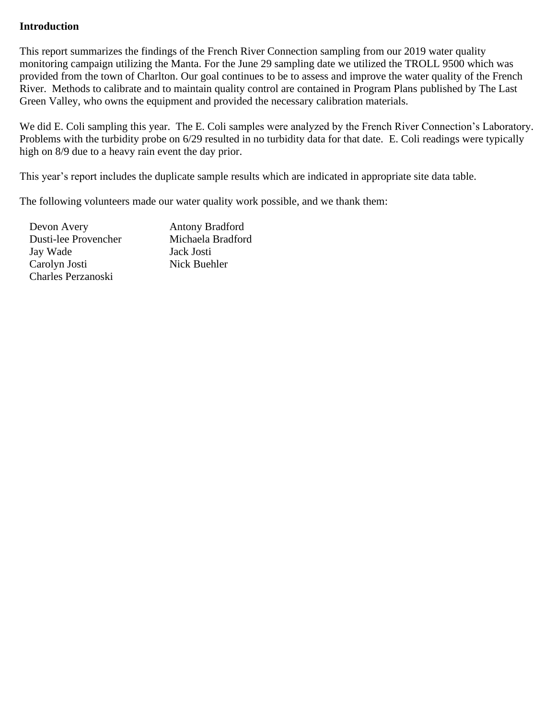### **Introduction**

This report summarizes the findings of the French River Connection sampling from our 2019 water quality monitoring campaign utilizing the Manta. For the June 29 sampling date we utilized the TROLL 9500 which was provided from the town of Charlton. Our goal continues to be to assess and improve the water quality of the French River. Methods to calibrate and to maintain quality control are contained in Program Plans published by The Last Green Valley, who owns the equipment and provided the necessary calibration materials.

We did E. Coli sampling this year. The E. Coli samples were analyzed by the French River Connection's Laboratory. Problems with the turbidity probe on 6/29 resulted in no turbidity data for that date. E. Coli readings were typically high on 8/9 due to a heavy rain event the day prior.

This year's report includes the duplicate sample results which are indicated in appropriate site data table.

The following volunteers made our water quality work possible, and we thank them:

| Devon Avery          | <b>Antony Bradford</b> |
|----------------------|------------------------|
| Dusti-lee Provencher | Michaela Bradford      |
| Jay Wade             | Jack Josti             |
| Carolyn Josti        | Nick Buehler           |
| Charles Perzanoski   |                        |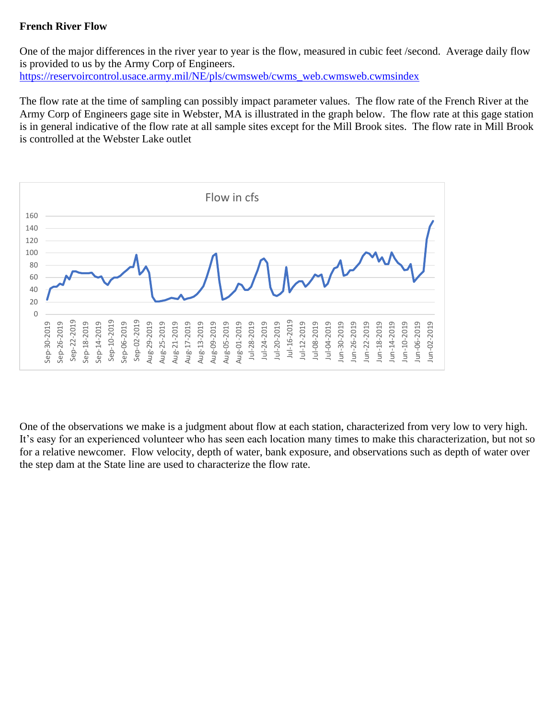## **French River Flow**

One of the major differences in the river year to year is the flow, measured in cubic feet /second. Average daily flow is provided to us by the Army Corp of Engineers. [https://reservoircontrol.usace.army.mil/NE/pls/cwmsweb/cwms\\_web.cwmsweb.cwmsindex](https://reservoircontrol.usace.army.mil/NE/pls/cwmsweb/cwms_web.cwmsweb.cwmsindex)

The flow rate at the time of sampling can possibly impact parameter values. The flow rate of the French River at the Army Corp of Engineers gage site in Webster, MA is illustrated in the graph below. The flow rate at this gage station is in general indicative of the flow rate at all sample sites except for the Mill Brook sites. The flow rate in Mill Brook is controlled at the Webster Lake outlet



One of the observations we make is a judgment about flow at each station, characterized from very low to very high. It's easy for an experienced volunteer who has seen each location many times to make this characterization, but not so for a relative newcomer. Flow velocity, depth of water, bank exposure, and observations such as depth of water over the step dam at the State line are used to characterize the flow rate.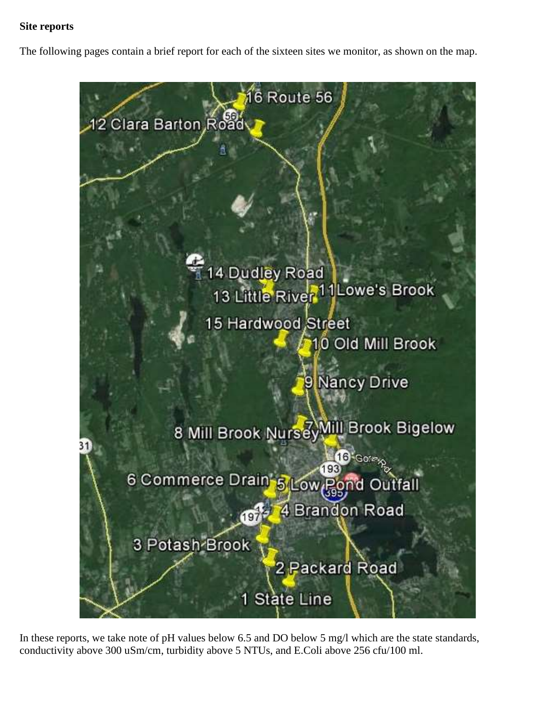## **Site reports**

The following pages contain a brief report for each of the sixteen sites we monitor, as shown on the map.



In these reports, we take note of pH values below 6.5 and DO below 5 mg/l which are the state standards, conductivity above 300 uSm/cm, turbidity above 5 NTUs, and E.Coli above 256 cfu/100 ml.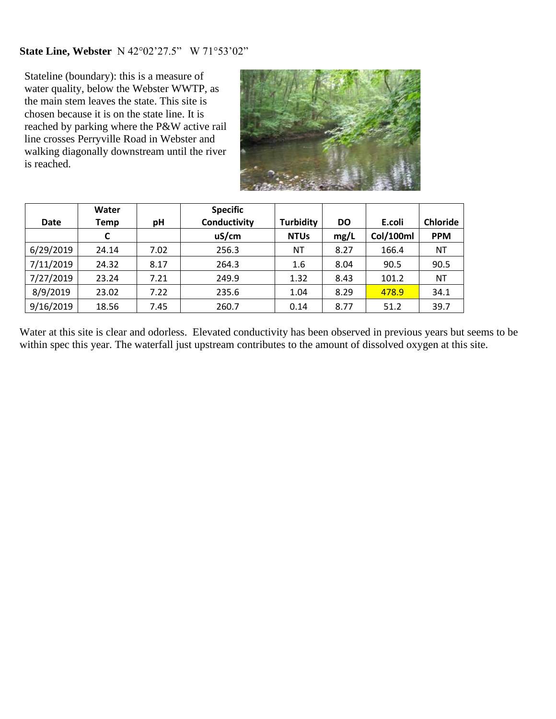## **State Line, Webster** N 42°02'27.5" W 71°53'02"

Stateline (boundary): this is a measure of water quality, below the Webster WWTP, as the main stem leaves the state. This site is chosen because it is on the state line. It is reached by parking where the P&W active rail line crosses Perryville Road in Webster and walking diagonally downstream until the river is reached.



|             | Water |      | <b>Specific</b> |                  |           |           |                 |
|-------------|-------|------|-----------------|------------------|-----------|-----------|-----------------|
| <b>Date</b> | Temp  | рH   | Conductivity    | <b>Turbidity</b> | <b>DO</b> | E.coli    | <b>Chloride</b> |
|             | C     |      | uS/cm           | <b>NTUs</b>      | mg/L      | Col/100ml | <b>PPM</b>      |
| 6/29/2019   | 24.14 | 7.02 | 256.3           | ΝT               | 8.27      | 166.4     | NT              |
| 7/11/2019   | 24.32 | 8.17 | 264.3           | 1.6              | 8.04      | 90.5      | 90.5            |
| 7/27/2019   | 23.24 | 7.21 | 249.9           | 1.32             | 8.43      | 101.2     | ΝT              |
| 8/9/2019    | 23.02 | 7.22 | 235.6           | 1.04             | 8.29      | 478.9     | 34.1            |
| 9/16/2019   | 18.56 | 7.45 | 260.7           | 0.14             | 8.77      | 51.2      | 39.7            |

Water at this site is clear and odorless. Elevated conductivity has been observed in previous years but seems to be within spec this year. The waterfall just upstream contributes to the amount of dissolved oxygen at this site.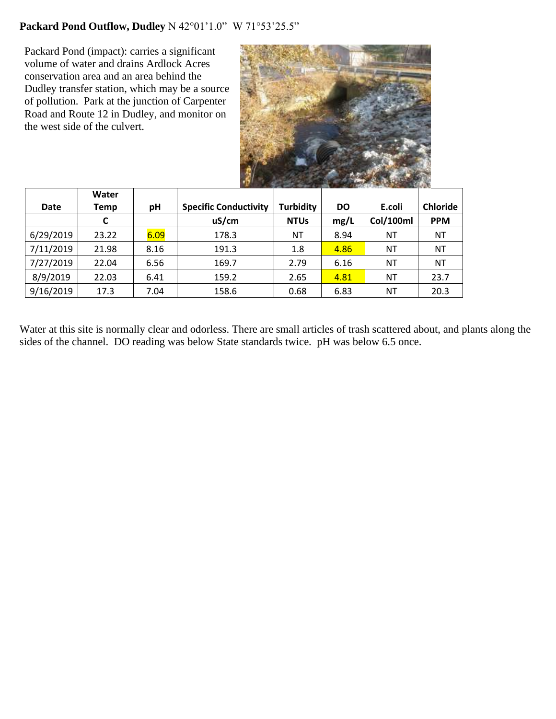# **Packard Pond Outflow, Dudley** N 42°01'1.0" W 71°53'25.5"

Packard Pond (impact): carries a significant volume of water and drains Ardlock Acres conservation area and an area behind the Dudley transfer station, which may be a source of pollution. Park at the junction of Carpenter Road and Route 12 in Dudley, and monitor on the west side of the culvert.



|             | Water |      |                              |                  |           |           |                 |
|-------------|-------|------|------------------------------|------------------|-----------|-----------|-----------------|
| <b>Date</b> | Temp  | pH   | <b>Specific Conductivity</b> | <b>Turbidity</b> | <b>DO</b> | E.coli    | <b>Chloride</b> |
|             | C     |      | uS/cm                        | <b>NTUs</b>      | mg/L      | Col/100ml | <b>PPM</b>      |
| 6/29/2019   | 23.22 | 6.09 | 178.3                        | ΝT               | 8.94      | ΝT        | ΝT              |
| 7/11/2019   | 21.98 | 8.16 | 191.3                        | 1.8              | 4.86      | ΝT        | <b>NT</b>       |
| 7/27/2019   | 22.04 | 6.56 | 169.7                        | 2.79             | 6.16      | ΝT        | ΝT              |
| 8/9/2019    | 22.03 | 6.41 | 159.2                        | 2.65             | 4.81      | ΝT        | 23.7            |
| 9/16/2019   | 17.3  | 7.04 | 158.6                        | 0.68             | 6.83      | ΝT        | 20.3            |

Water at this site is normally clear and odorless. There are small articles of trash scattered about, and plants along the sides of the channel. DO reading was below State standards twice. pH was below 6.5 once.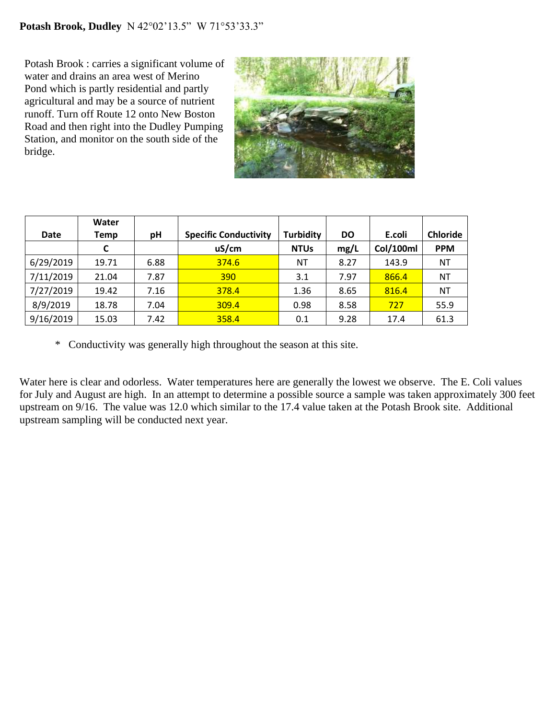Potash Brook : carries a significant volume of water and drains an area west of Merino Pond which is partly residential and partly agricultural and may be a source of nutrient runoff. Turn off Route 12 onto New Boston Road and then right into the Dudley Pumping Station, and monitor on the south side of the bridge.



|             | Water |      |                              |                  |           |           |                 |
|-------------|-------|------|------------------------------|------------------|-----------|-----------|-----------------|
| <b>Date</b> | Temp  | рH   | <b>Specific Conductivity</b> | <b>Turbidity</b> | <b>DO</b> | E.coli    | <b>Chloride</b> |
|             | C     |      | uS/cm                        | <b>NTUs</b>      | mg/L      | Col/100ml | <b>PPM</b>      |
| 6/29/2019   | 19.71 | 6.88 | 374.6                        | ΝT               | 8.27      | 143.9     | NT              |
| 7/11/2019   | 21.04 | 7.87 | 390                          | 3.1              | 7.97      | 866.4     | <b>NT</b>       |
| 7/27/2019   | 19.42 | 7.16 | 378.4                        | 1.36             | 8.65      | 816.4     | <b>NT</b>       |
| 8/9/2019    | 18.78 | 7.04 | 309.4                        | 0.98             | 8.58      | 727       | 55.9            |
| 9/16/2019   | 15.03 | 7.42 | 358.4                        | 0.1              | 9.28      | 17.4      | 61.3            |

\* Conductivity was generally high throughout the season at this site.

Water here is clear and odorless. Water temperatures here are generally the lowest we observe. The E. Coli values for July and August are high. In an attempt to determine a possible source a sample was taken approximately 300 feet upstream on 9/16. The value was 12.0 which similar to the 17.4 value taken at the Potash Brook site. Additional upstream sampling will be conducted next year.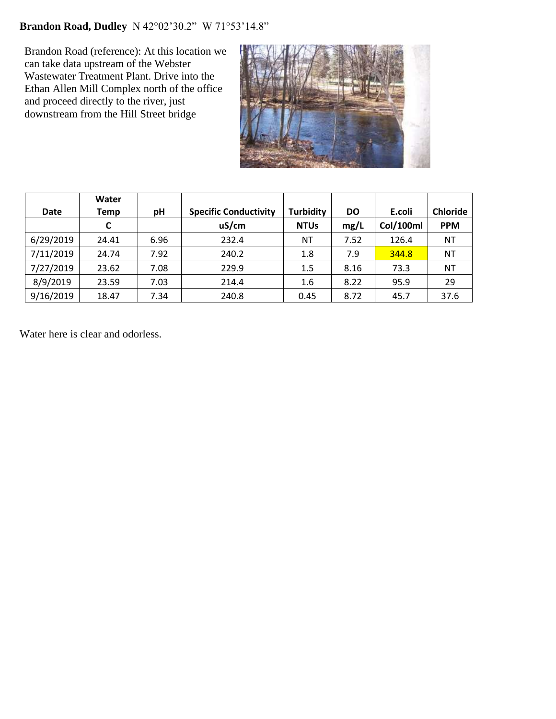# **Brandon Road, Dudley** N 42°02'30.2" W 71°53'14.8"

Brandon Road (reference): At this location we can take data upstream of the Webster Wastewater Treatment Plant. Drive into the Ethan Allen Mill Complex north of the office and proceed directly to the river, just downstream from the Hill Street bridge



|           | Water |      |                              |                  |           |           |                 |
|-----------|-------|------|------------------------------|------------------|-----------|-----------|-----------------|
| Date      | Temp  | рH   | <b>Specific Conductivity</b> | <b>Turbidity</b> | <b>DO</b> | E.coli    | <b>Chloride</b> |
|           |       |      | uS/cm                        | <b>NTUs</b>      | mg/L      | Col/100ml | <b>PPM</b>      |
| 6/29/2019 | 24.41 | 6.96 | 232.4                        | ΝT               | 7.52      | 126.4     | NT              |
| 7/11/2019 | 24.74 | 7.92 | 240.2                        | 1.8              | 7.9       | 344.8     | ΝT              |
| 7/27/2019 | 23.62 | 7.08 | 229.9                        | 1.5              | 8.16      | 73.3      | NT              |
| 8/9/2019  | 23.59 | 7.03 | 214.4                        | 1.6              | 8.22      | 95.9      | 29              |
| 9/16/2019 | 18.47 | 7.34 | 240.8                        | 0.45             | 8.72      | 45.7      | 37.6            |

Water here is clear and odorless.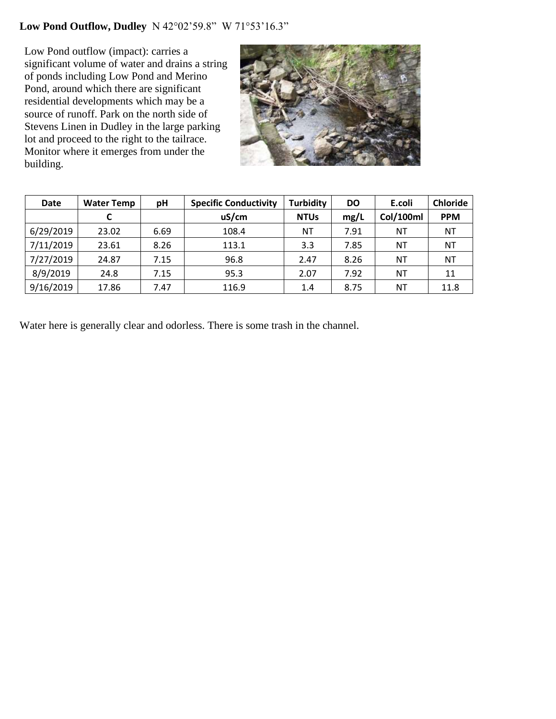# **Low Pond Outflow, Dudley** N 42°02'59.8" W 71°53'16.3"

Low Pond outflow (impact): carries a significant volume of water and drains a string of ponds including Low Pond and Merino Pond, around which there are significant residential developments which may be a source of runoff. Park on the north side of Stevens Linen in Dudley in the large parking lot and proceed to the right to the tailrace. Monitor where it emerges from under the building.



| <b>Date</b> | <b>Water Temp</b> | рH   | <b>Specific Conductivity</b> | <b>Turbidity</b> | DO   | E.coli    | <b>Chloride</b> |
|-------------|-------------------|------|------------------------------|------------------|------|-----------|-----------------|
|             |                   |      | uS/cm                        | <b>NTUs</b>      | mg/L | Col/100ml | <b>PPM</b>      |
| 6/29/2019   | 23.02             | 6.69 | 108.4                        | ΝT               | 7.91 | ΝT        | ΝT              |
| 7/11/2019   | 23.61             | 8.26 | 113.1                        | 3.3              | 7.85 | ΝT        | ΝT              |
| 7/27/2019   | 24.87             | 7.15 | 96.8                         | 2.47             | 8.26 | ΝT        | ΝT              |
| 8/9/2019    | 24.8              | 7.15 | 95.3                         | 2.07             | 7.92 | NΤ        | 11              |
| 9/16/2019   | 17.86             | 7.47 | 116.9                        | 1.4              | 8.75 | ΝT        | 11.8            |

Water here is generally clear and odorless. There is some trash in the channel.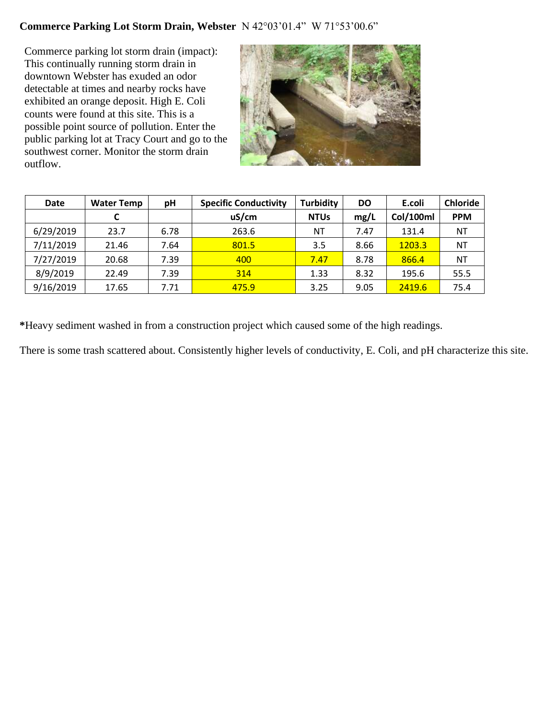# **Commerce Parking Lot Storm Drain, Webster** N 42°03'01.4" W 71°53'00.6"

Commerce parking lot storm drain (impact): This continually running storm drain in downtown Webster has exuded an odor detectable at times and nearby rocks have exhibited an orange deposit. High E. Coli counts were found at this site. This is a possible point source of pollution. Enter the public parking lot at Tracy Court and go to the southwest corner. Monitor the storm drain outflow.



| <b>Date</b> | <b>Water Temp</b> | pН   | <b>Specific Conductivity</b> | <b>Turbidity</b> | <b>DO</b> | E.coli    | <b>Chloride</b> |
|-------------|-------------------|------|------------------------------|------------------|-----------|-----------|-----------------|
|             | C                 |      | uS/cm                        | <b>NTUs</b>      | mg/L      | Col/100ml | <b>PPM</b>      |
| 6/29/2019   | 23.7              | 6.78 | 263.6                        | ΝT               | 7.47      | 131.4     | ΝT              |
| 7/11/2019   | 21.46             | 7.64 | 801.5                        | 3.5              | 8.66      | 1203.3    | ΝT              |
| 7/27/2019   | 20.68             | 7.39 | 400                          | 7.47             | 8.78      | 866.4     | ΝT              |
| 8/9/2019    | 22.49             | 7.39 | 314                          | 1.33             | 8.32      | 195.6     | 55.5            |
| 9/16/2019   | 17.65             | 7.71 | 475.9                        | 3.25             | 9.05      | 2419.6    | 75.4            |

**\***Heavy sediment washed in from a construction project which caused some of the high readings.

There is some trash scattered about. Consistently higher levels of conductivity, E. Coli, and pH characterize this site.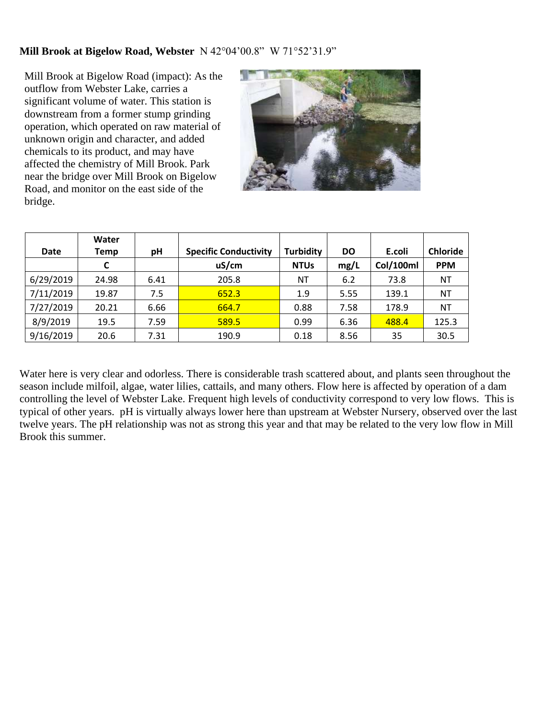#### **Mill Brook at Bigelow Road, Webster** N 42°04'00.8" W 71°52'31.9"

Mill Brook at Bigelow Road (impact): As the outflow from Webster Lake, carries a significant volume of water. This station is downstream from a former stump grinding operation, which operated on raw material of unknown origin and character, and added chemicals to its product, and may have affected the chemistry of Mill Brook. Park near the bridge over Mill Brook on Bigelow Road, and monitor on the east side of the bridge.



|           | Water |      |                              |                  |           |           |                 |
|-----------|-------|------|------------------------------|------------------|-----------|-----------|-----------------|
| Date      | Temp  | рH   | <b>Specific Conductivity</b> | <b>Turbidity</b> | <b>DO</b> | E.coli    | <b>Chloride</b> |
|           | C     |      | uS/cm                        | <b>NTUs</b>      | mg/L      | Col/100ml | <b>PPM</b>      |
| 6/29/2019 | 24.98 | 6.41 | 205.8                        | ΝT               | 6.2       | 73.8      | ΝT              |
| 7/11/2019 | 19.87 | 7.5  | 652.3                        | 1.9              | 5.55      | 139.1     | <b>NT</b>       |
| 7/27/2019 | 20.21 | 6.66 | 664.7                        | 0.88             | 7.58      | 178.9     | ΝT              |
| 8/9/2019  | 19.5  | 7.59 | 589.5                        | 0.99             | 6.36      | 488.4     | 125.3           |
| 9/16/2019 | 20.6  | 7.31 | 190.9                        | 0.18             | 8.56      | 35        | 30.5            |

Water here is very clear and odorless. There is considerable trash scattered about, and plants seen throughout the season include milfoil, algae, water lilies, cattails, and many others. Flow here is affected by operation of a dam controlling the level of Webster Lake. Frequent high levels of conductivity correspond to very low flows. This is typical of other years. pH is virtually always lower here than upstream at Webster Nursery, observed over the last twelve years. The pH relationship was not as strong this year and that may be related to the very low flow in Mill Brook this summer.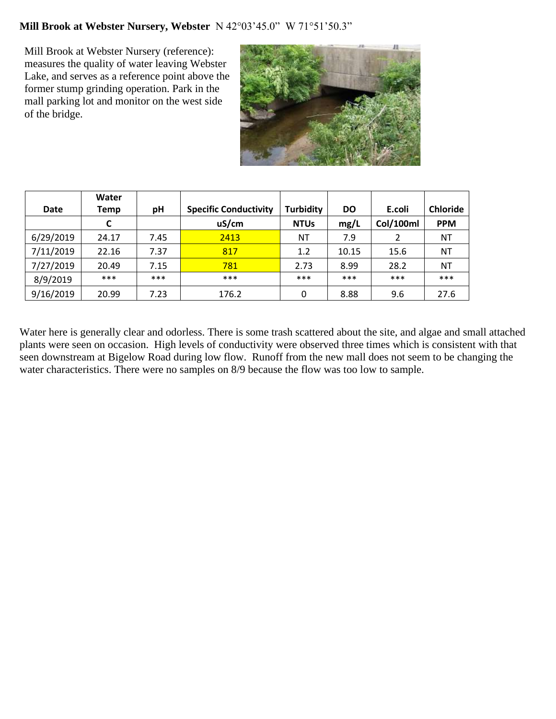## **Mill Brook at Webster Nursery, Webster** N 42°03'45.0" W 71°51'50.3"

Mill Brook at Webster Nursery (reference): measures the quality of water leaving Webster Lake, and serves as a reference point above the former stump grinding operation. Park in the mall parking lot and monitor on the west side of the bridge.



|             | Water |       |                              |                  |           |           |                 |
|-------------|-------|-------|------------------------------|------------------|-----------|-----------|-----------------|
| <b>Date</b> | Temp  | рH    | <b>Specific Conductivity</b> | <b>Turbidity</b> | <b>DO</b> | E.coli    | <b>Chloride</b> |
|             | C     |       | uS/cm                        | <b>NTUs</b>      | mg/L      | Col/100ml | <b>PPM</b>      |
| 6/29/2019   | 24.17 | 7.45  | 2413                         | ΝT               | 7.9       | 2         | <b>NT</b>       |
| 7/11/2019   | 22.16 | 7.37  | 817                          | 1.2              | 10.15     | 15.6      | ΝT              |
| 7/27/2019   | 20.49 | 7.15  | 781                          | 2.73             | 8.99      | 28.2      | ΝT              |
| 8/9/2019    | ***   | $***$ | ***                          | $***$            | ***       | ***       | ***             |
| 9/16/2019   | 20.99 | 7.23  | 176.2                        | 0                | 8.88      | 9.6       | 27.6            |

Water here is generally clear and odorless. There is some trash scattered about the site, and algae and small attached plants were seen on occasion. High levels of conductivity were observed three times which is consistent with that seen downstream at Bigelow Road during low flow. Runoff from the new mall does not seem to be changing the water characteristics. There were no samples on 8/9 because the flow was too low to sample.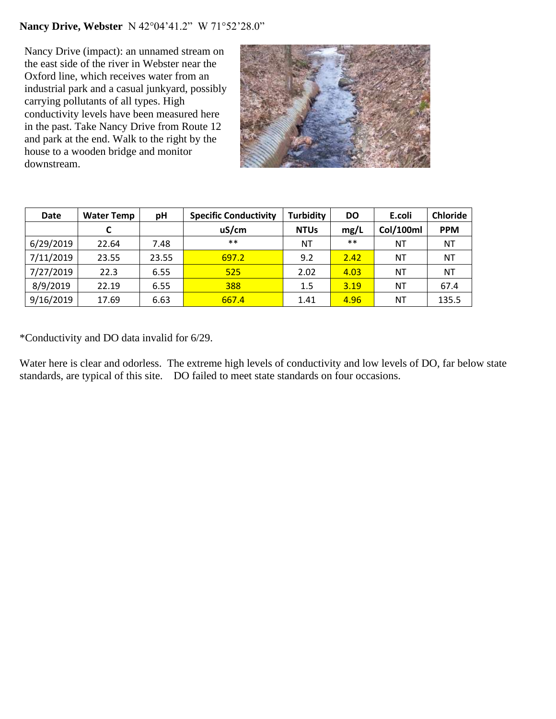## **Nancy Drive, Webster** N 42°04'41.2" W 71°52'28.0"

Nancy Drive (impact): an unnamed stream on the east side of the river in Webster near the Oxford line, which receives water from an industrial park and a casual junkyard, possibly carrying pollutants of all types. High conductivity levels have been measured here in the past. Take Nancy Drive from Route 12 and park at the end. Walk to the right by the house to a wooden bridge and monitor downstream.



| <b>Date</b> | <b>Water Temp</b> | рH    | <b>Specific Conductivity</b> | <b>Turbidity</b> | <b>DO</b> | E.coli    | <b>Chloride</b> |
|-------------|-------------------|-------|------------------------------|------------------|-----------|-----------|-----------------|
|             |                   |       | uS/cm                        | <b>NTUs</b>      | mg/L      | Col/100ml | <b>PPM</b>      |
| 6/29/2019   | 22.64             | 7.48  | $***$                        | ΝT               | $***$     | ΝT        | ΝT              |
| 7/11/2019   | 23.55             | 23.55 | 697.2                        | 9.2              | 2.42      | NT        | ΝT              |
| 7/27/2019   | 22.3              | 6.55  | 525                          | 2.02             | 4.03      | ΝT        | ΝT              |
| 8/9/2019    | 22.19             | 6.55  | 388                          | 1.5              | 3.19      | NΤ        | 67.4            |
| 9/16/2019   | 17.69             | 6.63  | 667.4                        | 1.41             | 4.96      | ΝT        | 135.5           |

\*Conductivity and DO data invalid for 6/29.

Water here is clear and odorless. The extreme high levels of conductivity and low levels of DO, far below state standards, are typical of this site. DO failed to meet state standards on four occasions.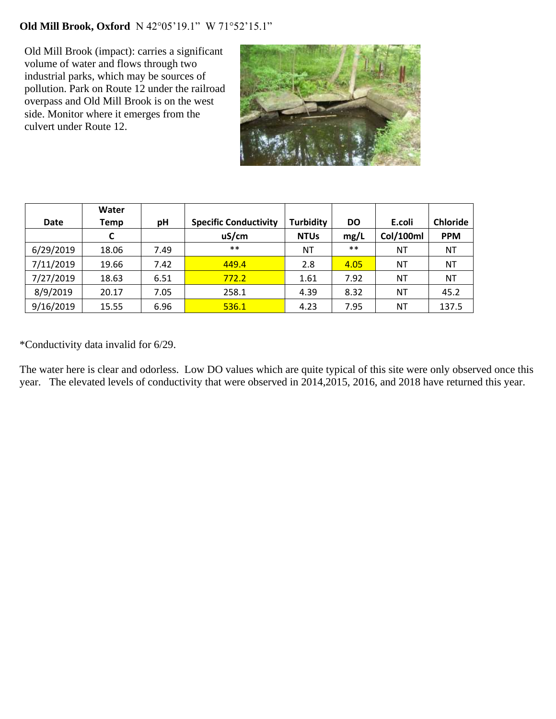# **Old Mill Brook, Oxford** N 42°05'19.1" W 71°52'15.1"

Old Mill Brook (impact): carries a significant volume of water and flows through two industrial parks, which may be sources of pollution. Park on Route 12 under the railroad overpass and Old Mill Brook is on the west side. Monitor where it emerges from the culvert under Route 12.



|             | Water |      |                              |                  |           |                  |                 |
|-------------|-------|------|------------------------------|------------------|-----------|------------------|-----------------|
| <b>Date</b> | Temp  | pH   | <b>Specific Conductivity</b> | <b>Turbidity</b> | <b>DO</b> | E.coli           | <b>Chloride</b> |
|             | C     |      | uS/cm                        | <b>NTUs</b>      | mg/L      | <b>Col/100ml</b> | <b>PPM</b>      |
| 6/29/2019   | 18.06 | 7.49 | $***$                        | ΝT               | $***$     | ΝT               | NT              |
| 7/11/2019   | 19.66 | 7.42 | 449.4                        | 2.8              | 4.05      | ΝT               | ΝT              |
| 7/27/2019   | 18.63 | 6.51 | 772.2                        | 1.61             | 7.92      | NT               | ΝT              |
| 8/9/2019    | 20.17 | 7.05 | 258.1                        | 4.39             | 8.32      | ΝT               | 45.2            |
| 9/16/2019   | 15.55 | 6.96 | 536.1                        | 4.23             | 7.95      | NT               | 137.5           |

\*Conductivity data invalid for 6/29.

The water here is clear and odorless. Low DO values which are quite typical of this site were only observed once this year. The elevated levels of conductivity that were observed in 2014,2015, 2016, and 2018 have returned this year.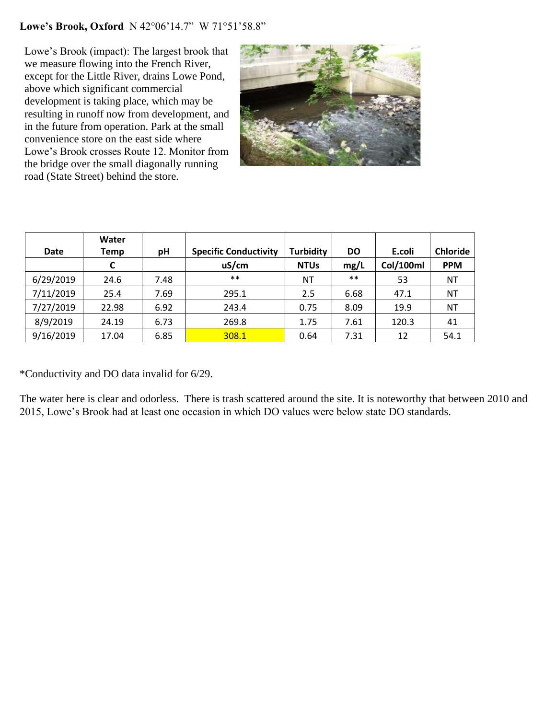### **Lowe's Brook, Oxford** N 42°06'14.7" W 71°51'58.8"

Lowe's Brook (impact): The largest brook that we measure flowing into the French River, except for the Little River, drains Lowe Pond, above which significant commercial development is taking place, which may be resulting in runoff now from development, and in the future from operation. Park at the small convenience store on the east side where Lowe's Brook crosses Route 12. Monitor from the bridge over the small diagonally running road (State Street) behind the store.



|             | Water |      |                              |                  |           |           |                 |
|-------------|-------|------|------------------------------|------------------|-----------|-----------|-----------------|
| <b>Date</b> | Temp  | рH   | <b>Specific Conductivity</b> | <b>Turbidity</b> | <b>DO</b> | E.coli    | <b>Chloride</b> |
|             | C     |      | uS/cm                        | <b>NTUs</b>      | mg/L      | Col/100ml | <b>PPM</b>      |
| 6/29/2019   | 24.6  | 7.48 | $***$                        | ΝT               | $***$     | 53        | ΝT              |
| 7/11/2019   | 25.4  | 7.69 | 295.1                        | 2.5              | 6.68      | 47.1      | NT              |
| 7/27/2019   | 22.98 | 6.92 | 243.4                        | 0.75             | 8.09      | 19.9      | ΝT              |
| 8/9/2019    | 24.19 | 6.73 | 269.8                        | 1.75             | 7.61      | 120.3     | 41              |
| 9/16/2019   | 17.04 | 6.85 | 308.1                        | 0.64             | 7.31      | 12        | 54.1            |

\*Conductivity and DO data invalid for 6/29.

The water here is clear and odorless. There is trash scattered around the site. It is noteworthy that between 2010 and 2015, Lowe's Brook had at least one occasion in which DO values were below state DO standards.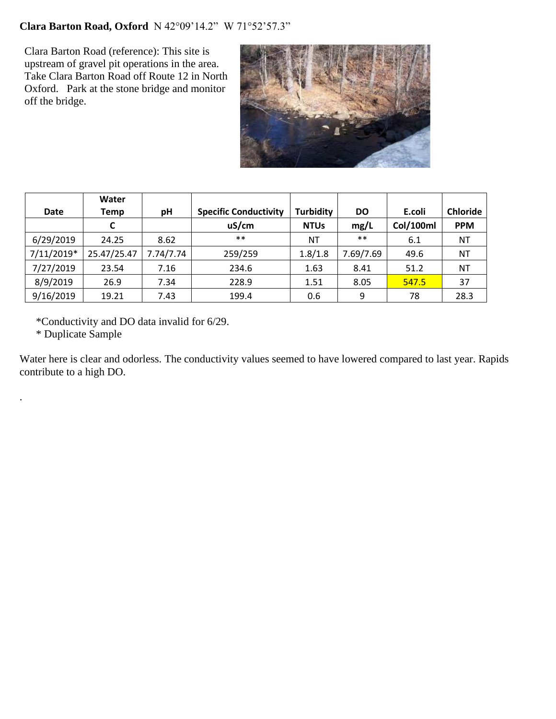## **Clara Barton Road, Oxford** N 42°09'14.2" W 71°52'57.3"

Clara Barton Road (reference): This site is upstream of gravel pit operations in the area. Take Clara Barton Road off Route 12 in North Oxford. Park at the stone bridge and monitor off the bridge.



|             | Water       |           |                              |                  |           |           |                 |
|-------------|-------------|-----------|------------------------------|------------------|-----------|-----------|-----------------|
| <b>Date</b> | Temp        | pH        | <b>Specific Conductivity</b> | <b>Turbidity</b> | <b>DO</b> | E.coli    | <b>Chloride</b> |
|             | C           |           | uS/cm                        | <b>NTUs</b>      | mg/L      | Col/100ml | <b>PPM</b>      |
| 6/29/2019   | 24.25       | 8.62      | $***$                        | <b>NT</b>        | $***$     | 6.1       | <b>NT</b>       |
| 7/11/2019*  | 25.47/25.47 | 7.74/7.74 | 259/259                      | 1.8/1.8          | 7.69/7.69 | 49.6      | <b>NT</b>       |
| 7/27/2019   | 23.54       | 7.16      | 234.6                        | 1.63             | 8.41      | 51.2      | ΝT              |
| 8/9/2019    | 26.9        | 7.34      | 228.9                        | 1.51             | 8.05      | 547.5     | 37              |
| 9/16/2019   | 19.21       | 7.43      | 199.4                        | 0.6              | 9         | 78        | 28.3            |

\*Conductivity and DO data invalid for 6/29.

\* Duplicate Sample

.

Water here is clear and odorless. The conductivity values seemed to have lowered compared to last year. Rapids contribute to a high DO.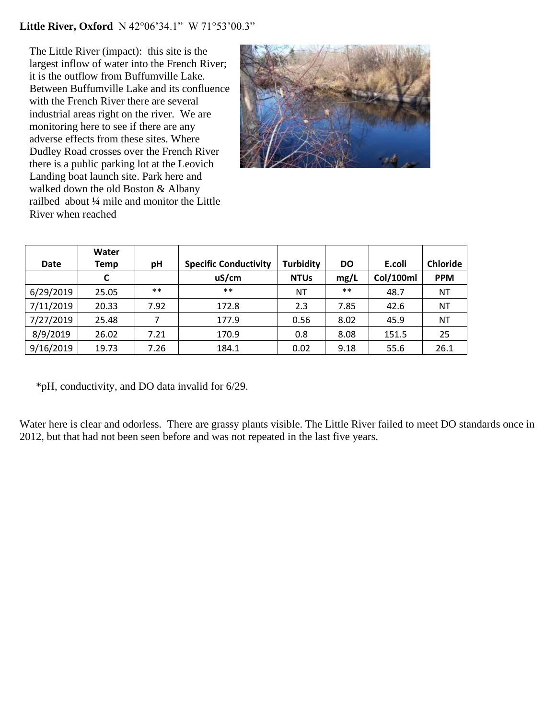#### **Little River, Oxford** N 42°06'34.1" W 71°53'00.3"

The Little River (impact): this site is the largest inflow of water into the French River; it is the outflow from Buffumville Lake. Between Buffumville Lake and its confluence with the French River there are several industrial areas right on the river. We are monitoring here to see if there are any adverse effects from these sites. Where Dudley Road crosses over the French River there is a public parking lot at the Leovich Landing boat launch site. Park here and walked down the old Boston & Albany railbed about ¼ mile and monitor the Little River when reached



|           | Water |       |                              |                  |           |                  |                 |
|-----------|-------|-------|------------------------------|------------------|-----------|------------------|-----------------|
| Date      | Temp  | pH    | <b>Specific Conductivity</b> | <b>Turbidity</b> | <b>DO</b> | E.coli           | <b>Chloride</b> |
|           | C     |       | uS/cm                        | <b>NTUs</b>      | mg/L      | <b>Col/100ml</b> | <b>PPM</b>      |
| 6/29/2019 | 25.05 | $***$ | $***$                        | ΝT               | $***$     | 48.7             | ΝT              |
| 7/11/2019 | 20.33 | 7.92  | 172.8                        | 2.3              | 7.85      | 42.6             | NT              |
| 7/27/2019 | 25.48 | 7     | 177.9                        | 0.56             | 8.02      | 45.9             | <b>NT</b>       |
| 8/9/2019  | 26.02 | 7.21  | 170.9                        | 0.8              | 8.08      | 151.5            | 25              |
| 9/16/2019 | 19.73 | 7.26  | 184.1                        | 0.02             | 9.18      | 55.6             | 26.1            |

\*pH, conductivity, and DO data invalid for 6/29.

Water here is clear and odorless. There are grassy plants visible. The Little River failed to meet DO standards once in 2012, but that had not been seen before and was not repeated in the last five years.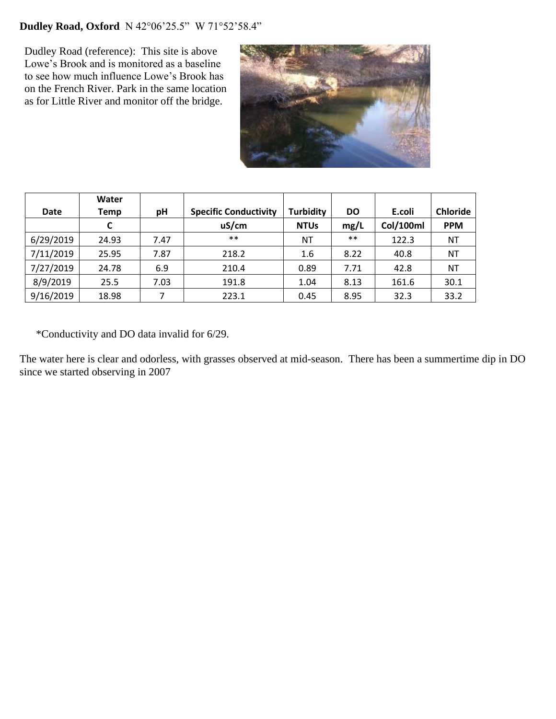# **Dudley Road, Oxford** N 42°06'25.5" W 71°52'58.4"

Dudley Road (reference): This site is above Lowe's Brook and is monitored as a baseline to see how much influence Lowe's Brook has on the French River. Park in the same location as for Little River and monitor off the bridge.



|             | Water |      |                              |                  |           |           |                 |
|-------------|-------|------|------------------------------|------------------|-----------|-----------|-----------------|
| <b>Date</b> | Temp  | pH   | <b>Specific Conductivity</b> | <b>Turbidity</b> | <b>DO</b> | E.coli    | <b>Chloride</b> |
|             |       |      | uS/cm                        | <b>NTUs</b>      | mg/L      | Col/100ml | <b>PPM</b>      |
| 6/29/2019   | 24.93 | 7.47 | $***$                        | ΝT               | $***$     | 122.3     | ΝT              |
| 7/11/2019   | 25.95 | 7.87 | 218.2                        | 1.6              | 8.22      | 40.8      | ΝT              |
| 7/27/2019   | 24.78 | 6.9  | 210.4                        | 0.89             | 7.71      | 42.8      | NT              |
| 8/9/2019    | 25.5  | 7.03 | 191.8                        | 1.04             | 8.13      | 161.6     | 30.1            |
| 9/16/2019   | 18.98 | ⇁    | 223.1                        | 0.45             | 8.95      | 32.3      | 33.2            |

\*Conductivity and DO data invalid for 6/29.

The water here is clear and odorless, with grasses observed at mid-season. There has been a summertime dip in DO since we started observing in 2007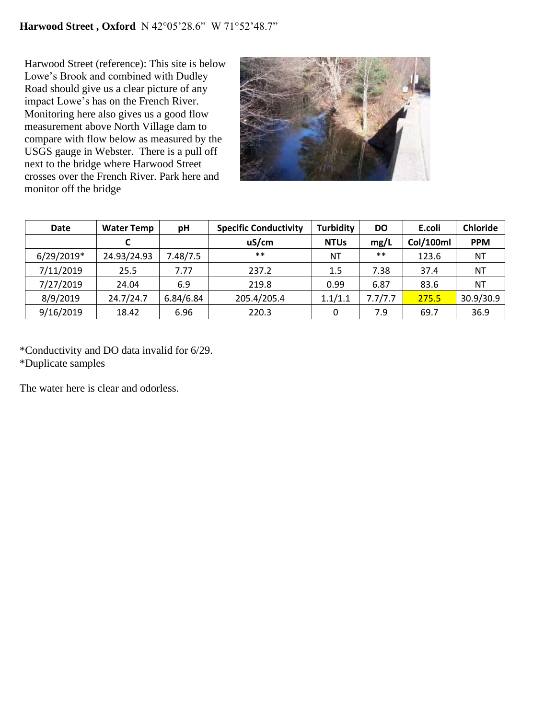Harwood Street (reference): This site is below Lowe's Brook and combined with Dudley Road should give us a clear picture of any impact Lowe's has on the French River. Monitoring here also gives us a good flow measurement above North Village dam to compare with flow below as measured by the USGS gauge in Webster. There is a pull off next to the bridge where Harwood Street crosses over the French River. Park here and monitor off the bridge



| Date       | <b>Water Temp</b> | рH        | <b>Specific Conductivity</b> | <b>Turbidity</b> | <b>DO</b> | E.coli    | <b>Chloride</b> |
|------------|-------------------|-----------|------------------------------|------------------|-----------|-----------|-----------------|
|            |                   |           | uS/cm                        | <b>NTUs</b>      | mg/L      | Col/100ml | <b>PPM</b>      |
| 6/29/2019* | 24.93/24.93       | 7.48/7.5  | $***$                        | <b>NT</b>        | $***$     | 123.6     | NT              |
| 7/11/2019  | 25.5              | 7.77      | 237.2                        | 1.5              | 7.38      | 37.4      | <b>NT</b>       |
| 7/27/2019  | 24.04             | 6.9       | 219.8                        | 0.99             | 6.87      | 83.6      | <b>NT</b>       |
| 8/9/2019   | 24.7/24.7         | 6.84/6.84 | 205.4/205.4                  | 1.1/1.1          | 7.7/7.7   | 275.5     | 30.9/30.9       |
| 9/16/2019  | 18.42             | 6.96      | 220.3                        | 0                | 7.9       | 69.7      | 36.9            |

\*Conductivity and DO data invalid for 6/29. \*Duplicate samples

The water here is clear and odorless.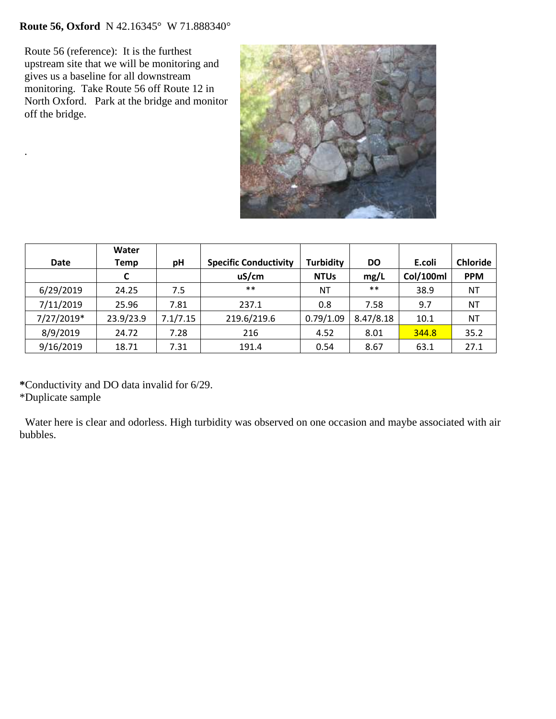# **Route 56, Oxford** N 42.16345° W 71.888340°

Route 56 (reference): It is the furthest upstream site that we will be monitoring and gives us a baseline for all downstream monitoring. Take Route 56 off Route 12 in North Oxford. Park at the bridge and monitor off the bridge.

.



|             | Water     |          |                              |                  |           |           |                 |
|-------------|-----------|----------|------------------------------|------------------|-----------|-----------|-----------------|
| <b>Date</b> | Temp      | pH       | <b>Specific Conductivity</b> | <b>Turbidity</b> | <b>DO</b> | E.coli    | <b>Chloride</b> |
|             | C         |          | uS/cm                        | <b>NTUs</b>      | mg/L      | Col/100ml | <b>PPM</b>      |
| 6/29/2019   | 24.25     | 7.5      | $***$                        | <b>NT</b>        | $***$     | 38.9      | NT              |
| 7/11/2019   | 25.96     | 7.81     | 237.1                        | 0.8              | 7.58      | 9.7       | NT              |
| 7/27/2019*  | 23.9/23.9 | 7.1/7.15 | 219.6/219.6                  | 0.79/1.09        | 8.47/8.18 | 10.1      | NT              |
| 8/9/2019    | 24.72     | 7.28     | 216                          | 4.52             | 8.01      | 344.8     | 35.2            |
| 9/16/2019   | 18.71     | 7.31     | 191.4                        | 0.54             | 8.67      | 63.1      | 27.1            |

**\***Conductivity and DO data invalid for 6/29. \*Duplicate sample

 Water here is clear and odorless. High turbidity was observed on one occasion and maybe associated with air bubbles.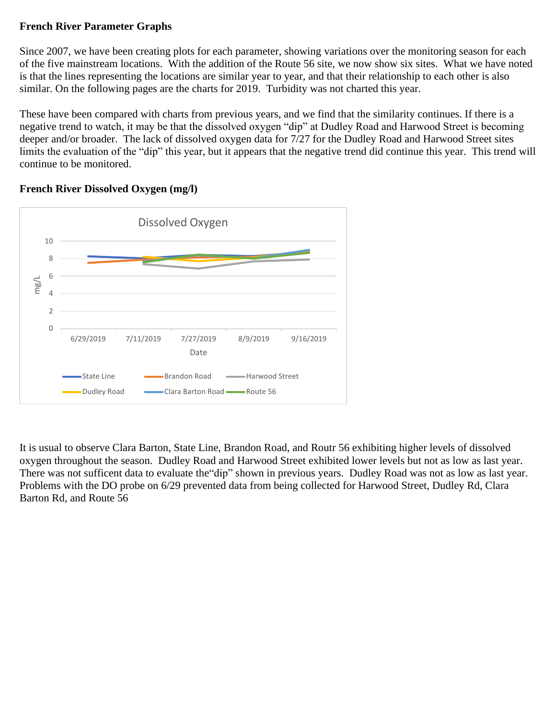## **French River Parameter Graphs**

Since 2007, we have been creating plots for each parameter, showing variations over the monitoring season for each of the five mainstream locations. With the addition of the Route 56 site, we now show six sites. What we have noted is that the lines representing the locations are similar year to year, and that their relationship to each other is also similar. On the following pages are the charts for 2019. Turbidity was not charted this year.

These have been compared with charts from previous years, and we find that the similarity continues. If there is a negative trend to watch, it may be that the dissolved oxygen "dip" at Dudley Road and Harwood Street is becoming deeper and/or broader. The lack of dissolved oxygen data for 7/27 for the Dudley Road and Harwood Street sites limits the evaluation of the "dip" this year, but it appears that the negative trend did continue this year. This trend will continue to be monitored.



## **French River Dissolved Oxygen (mg/l)**

It is usual to observe Clara Barton, State Line, Brandon Road, and Routr 56 exhibiting higher levels of dissolved oxygen throughout the season. Dudley Road and Harwood Street exhibited lower levels but not as low as last year. There was not sufficent data to evaluate the"dip" shown in previous years. Dudley Road was not as low as last year. Problems with the DO probe on 6/29 prevented data from being collected for Harwood Street, Dudley Rd, Clara Barton Rd, and Route 56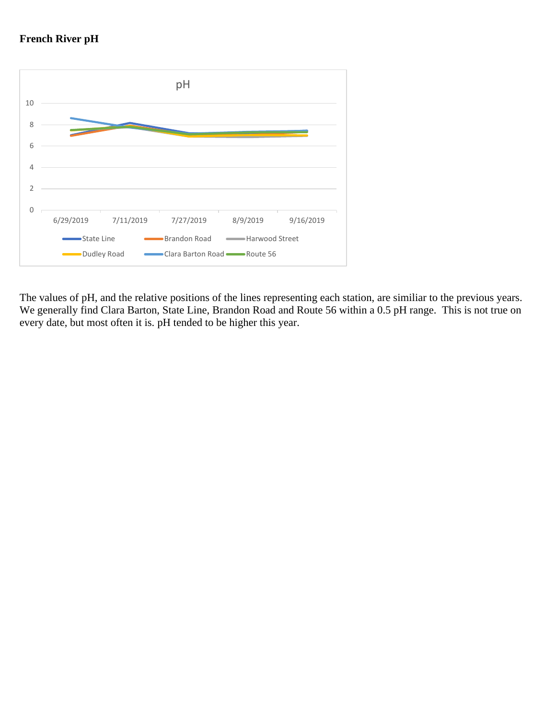



The values of pH, and the relative positions of the lines representing each station, are similiar to the previous years. We generally find Clara Barton, State Line, Brandon Road and Route 56 within a 0.5 pH range. This is not true on every date, but most often it is. pH tended to be higher this year.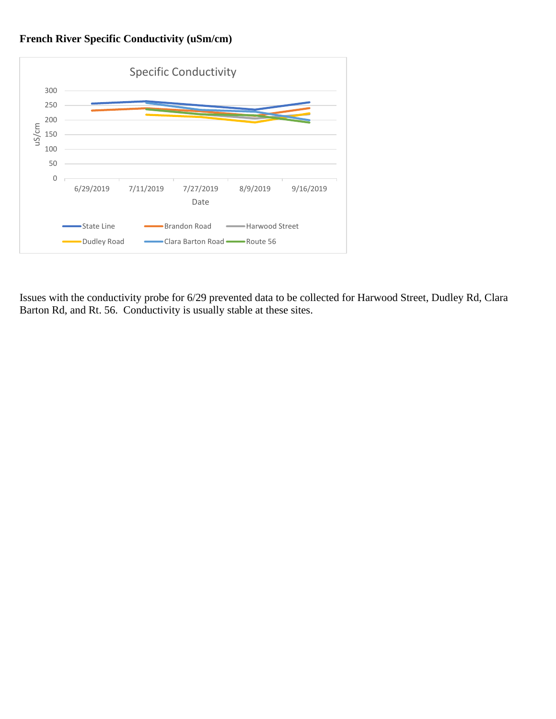## **French River Specific Conductivity (uSm/cm)**



Issues with the conductivity probe for 6/29 prevented data to be collected for Harwood Street, Dudley Rd, Clara Barton Rd, and Rt. 56. Conductivity is usually stable at these sites.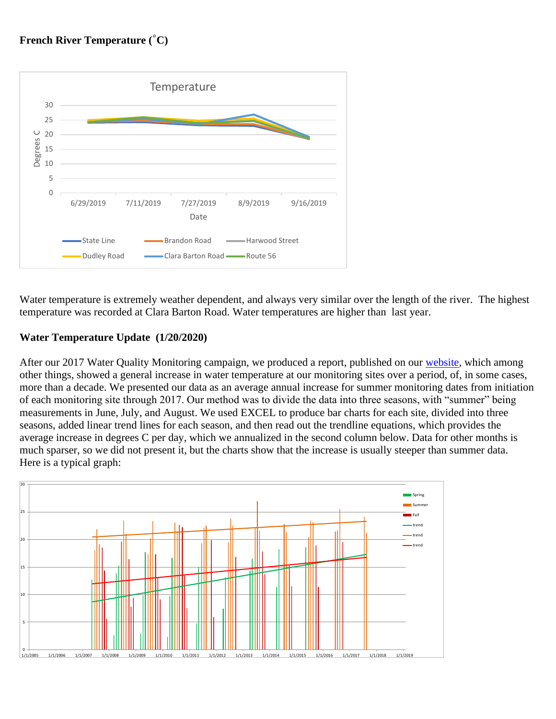## **French River Temperature (˚C)**



Water temperature is extremely weather dependent, and always very similar over the length of the river. The highest temperature was recorded at Clara Barton Road. Water temperatures are higher than last year.

## **Water Temperature Update (1/20/2020)**

After our 2017 Water Quality Monitoring campaign, we produced a report, published on our [website,](https://www.frenchriverconnection.org/) which among other things, showed a general increase in water temperature at our monitoring sites over a period, of, in some cases, more than a decade. We presented our data as an average annual increase for summer monitoring dates from initiation of each monitoring site through 2017. Our method was to divide the data into three seasons, with "summer" being measurements in June, July, and August. We used EXCEL to produce bar charts for each site, divided into three seasons, added linear trend lines for each season, and then read out the trendline equations, which provides the average increase in degrees C per day, which we annualized in the second column below. Data for other months is much sparser, so we did not present it, but the charts show that the increase is usually steeper than summer data. Here is a typical graph:

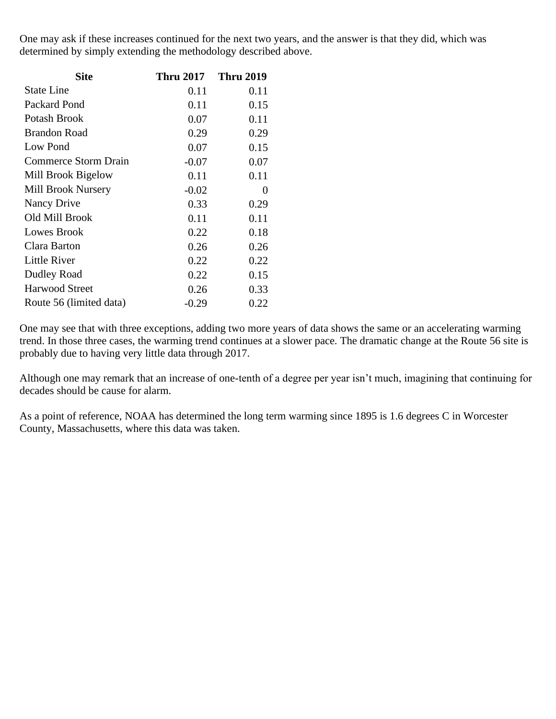One may ask if these increases continued for the next two years, and the answer is that they did, which was determined by simply extending the methodology described above.

| <b>Site</b>                 | <b>Thru 2017</b> | <b>Thru 2019</b> |
|-----------------------------|------------------|------------------|
| <b>State Line</b>           | 0.11             | 0.11             |
| Packard Pond                | 0.11             | 0.15             |
| Potash Brook                | 0.07             | 0.11             |
| <b>Brandon Road</b>         | 0.29             | 0.29             |
| Low Pond                    | 0.07             | 0.15             |
| <b>Commerce Storm Drain</b> | $-0.07$          | 0.07             |
| Mill Brook Bigelow          | 0.11             | 0.11             |
| Mill Brook Nursery          | $-0.02$          | $\theta$         |
| Nancy Drive                 | 0.33             | 0.29             |
| Old Mill Brook              | 0.11             | 0.11             |
| Lowes Brook                 | 0.22             | 0.18             |
| Clara Barton                | 0.26             | 0.26             |
| Little River                | 0.22             | 0.22             |
| Dudley Road                 | 0.22             | 0.15             |
| <b>Harwood Street</b>       | 0.26             | 0.33             |
| Route 56 (limited data)     | $-0.29$          | 0.22             |

One may see that with three exceptions, adding two more years of data shows the same or an accelerating warming trend. In those three cases, the warming trend continues at a slower pace. The dramatic change at the Route 56 site is probably due to having very little data through 2017.

Although one may remark that an increase of one-tenth of a degree per year isn't much, imagining that continuing for decades should be cause for alarm.

As a point of reference, NOAA has determined the long term warming since 1895 is 1.6 degrees C in Worcester County, Massachusetts, where this data was taken.